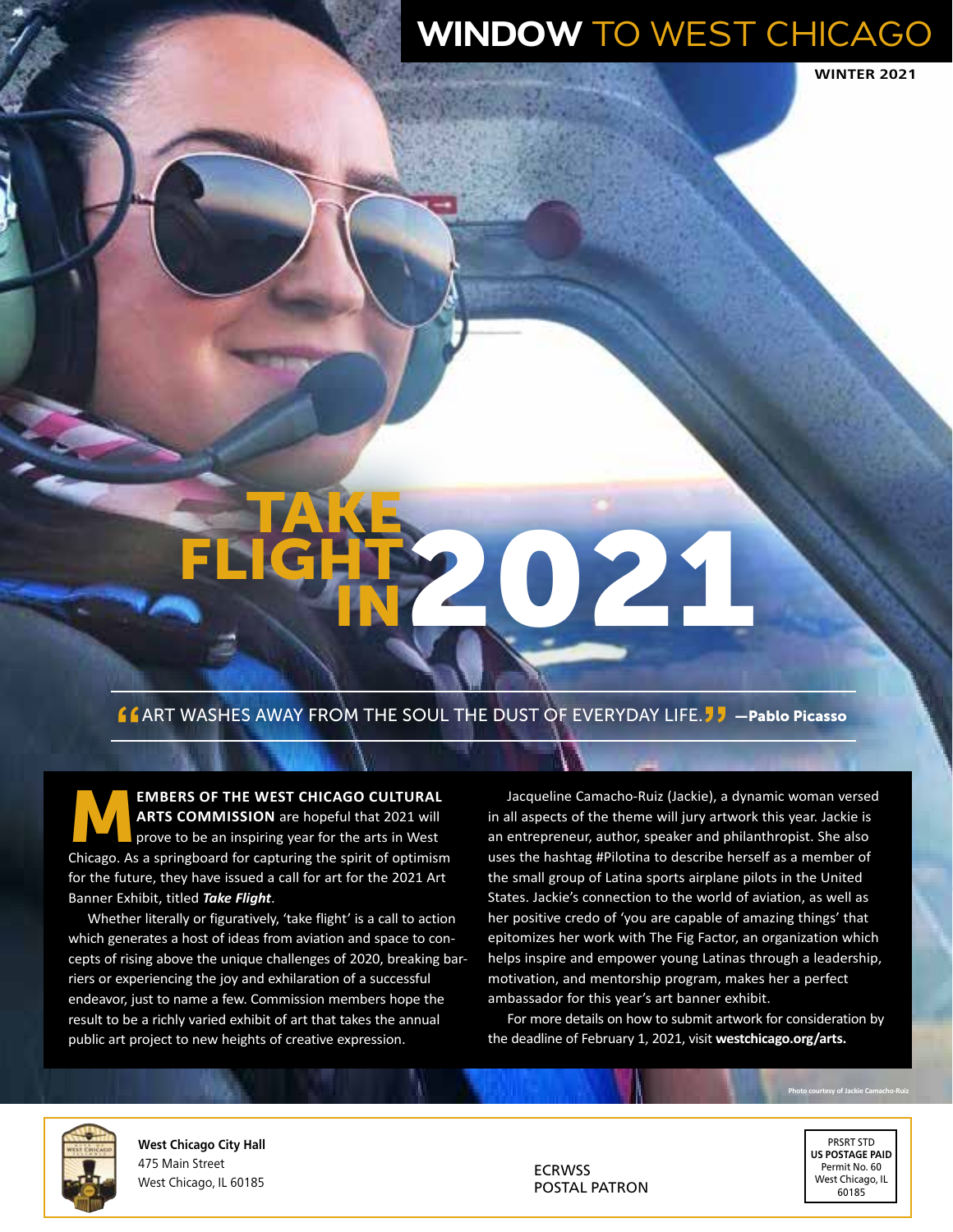## WINDOW TO WEST CHICAGO

**WINTER 2021** 

# Take **FLIGHT** 021

#### **"**Art washes away from the soul the dust of everyday life.**"** —Pablo Picasso

M**embers of the West Chicago Cultural Arts Commission** are hopeful that 2021 will prove to be an inspiring year for the arts in West Chicago. As a springboard for capturing the spirit of optimism for the future, they have issued a call for art for the 2021 Art Banner Exhibit, titled *Take Flight*.

Whether literally or figuratively, 'take flight' is a call to action which generates a host of ideas from aviation and space to concepts of rising above the unique challenges of 2020, breaking barriers or experiencing the joy and exhilaration of a successful endeavor, just to name a few. Commission members hope the result to be a richly varied exhibit of art that takes the annual public art project to new heights of creative expression.

Jacqueline Camacho-Ruiz (Jackie), a dynamic woman versed in all aspects of the theme will jury artwork this year. Jackie is an entrepreneur, author, speaker and philanthropist. She also uses the hashtag #Pilotina to describe herself as a member of the small group of Latina sports airplane pilots in the United States. Jackie's connection to the world of aviation, as well as her positive credo of 'you are capable of amazing things' that epitomizes her work with The Fig Factor, an organization which helps inspire and empower young Latinas through a leadership, motivation, and mentorship program, makes her a perfect ambassador for this year's art banner exhibit.

For more details on how to submit artwork for consideration by the deadline of February 1, 2021, visit **westchicago.org/arts.**



**West Chicago City Hall** 475 Main Street West Chicago, IL 60185

ECRWSS POSTAL PATRON

PRSRT STD **US POSTAGE PAID** Permit No. 60 West Chicago, IL 60185

**Photo courtesy of Jackie Camacho-Ruiz**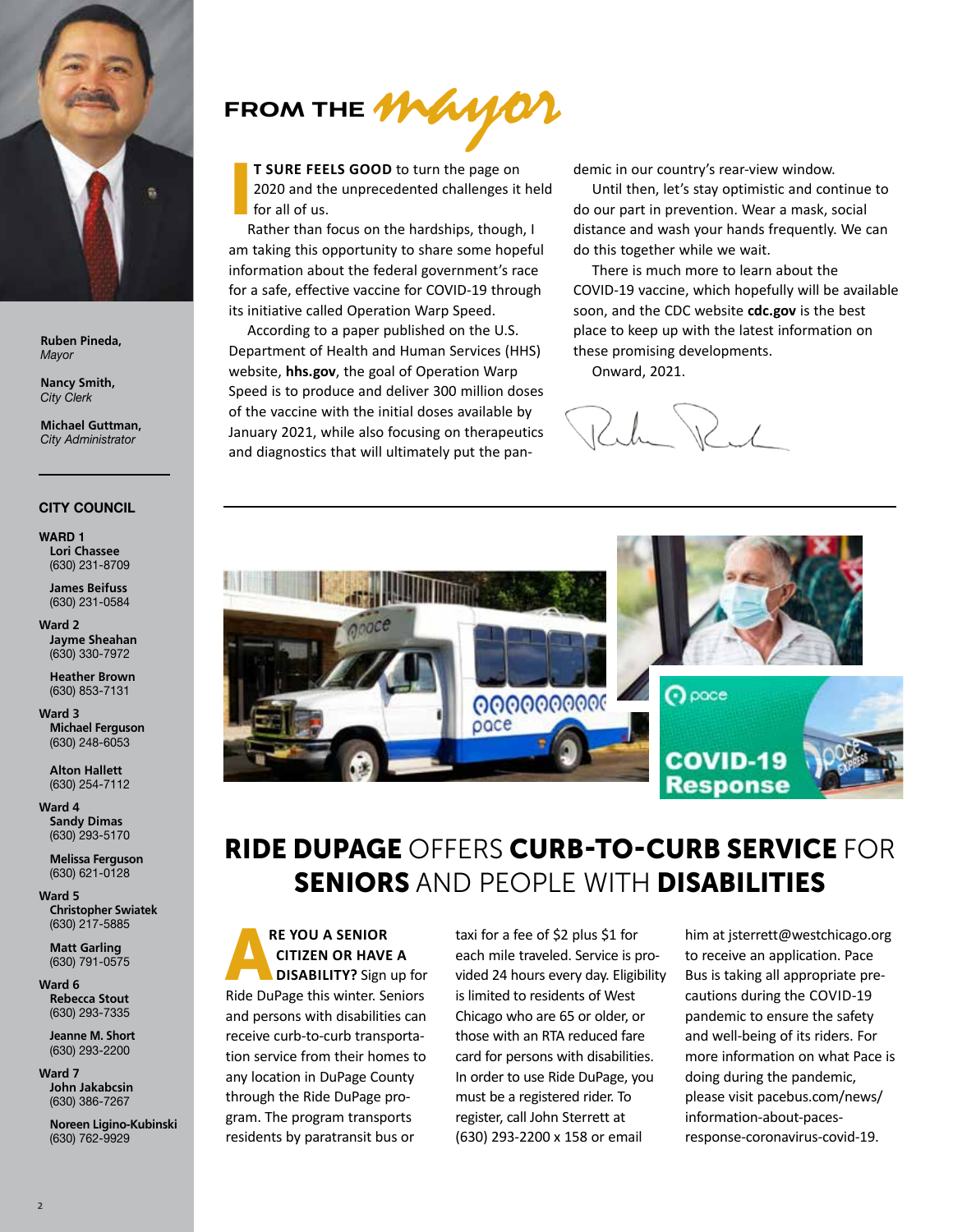

**Ruben Pineda,**  *Mayor*

**Nancy Smith,**  *City Clerk*

**Michael Guttman,**  *City Administrator*

#### **CITY COUNCIL**

**Ward 1 Lori Chassee**  (630) 231-8709

> **James Beifuss**  (630) 231-0584

**Ward 2 Jayme Sheahan** (630) 330-7972

**Heather Brown** (630) 853-7131

**Ward 3 Michael Ferguson** (630) 248-6053

> **Alton Hallett**  (630) 254-7112

**Ward 4 Sandy Dimas**  (630) 293-5170

> **Melissa Ferguson**  (630) 621-0128

**Ward 5 Christopher Swiatek** (630) 217-5885

**Matt Garling**  (630) 791-0575

**Ward 6 Rebecca Stout** (630) 293-7335

> **Jeanne M. Short**  (630) 293-2200

**Ward 7 John Jakabcsin** (630) 386-7267

> **Noreen Ligino-Kubinski** (630) 762-9929



I **t sure feels good** to turn the page on 2020 and the unprecedented challenges it held for all of us.

Rather than focus on the hardships, though, I am taking this opportunity to share some hopeful information about the federal government's race for a safe, effective vaccine for COVID-19 through its initiative called Operation Warp Speed.

According to a paper published on the U.S. Department of Health and Human Services (HHS) website, **hhs.gov**, the goal of Operation Warp Speed is to produce and deliver 300 million doses of the vaccine with the initial doses available by January 2021, while also focusing on therapeutics and diagnostics that will ultimately put the pandemic in our country's rear-view window.

Until then, let's stay optimistic and continue to do our part in prevention. Wear a mask, social distance and wash your hands frequently. We can do this together while we wait.

There is much more to learn about the COVID-19 vaccine, which hopefully will be available soon, and the CDC website **cdc.gov** is the best place to keep up with the latest information on these promising developments.

Onward, 2021.

 $W_{\mathcal{A}}$ 



### Ride DuPage Offers Curb-to-Curb Service for Seniors and People with Disabilities

## **RE YOU A SENIOR<br>
CITIZEN OR HAVE A<br>
DISABILITY?** Sign up for  **citizen or have a**

Ride DuPage this winter. Seniors and persons with disabilities can receive curb-to-curb transportation service from their homes to any location in DuPage County through the Ride DuPage program. The program transports residents by paratransit bus or

taxi for a fee of \$2 plus \$1 for each mile traveled. Service is provided 24 hours every day. Eligibility is limited to residents of West Chicago who are 65 or older, or those with an RTA reduced fare card for persons with disabilities. In order to use Ride DuPage, you must be a registered rider. To register, call John Sterrett at (630) 293-2200 x 158 or email

him at jsterrett@westchicago.org to receive an application. Pace Bus is taking all appropriate precautions during the COVID-19 pandemic to ensure the safety and well-being of its riders. For more information on what Pace is doing during the pandemic, please visit pacebus.com/news/ information-about-pacesresponse-coronavirus-covid-19.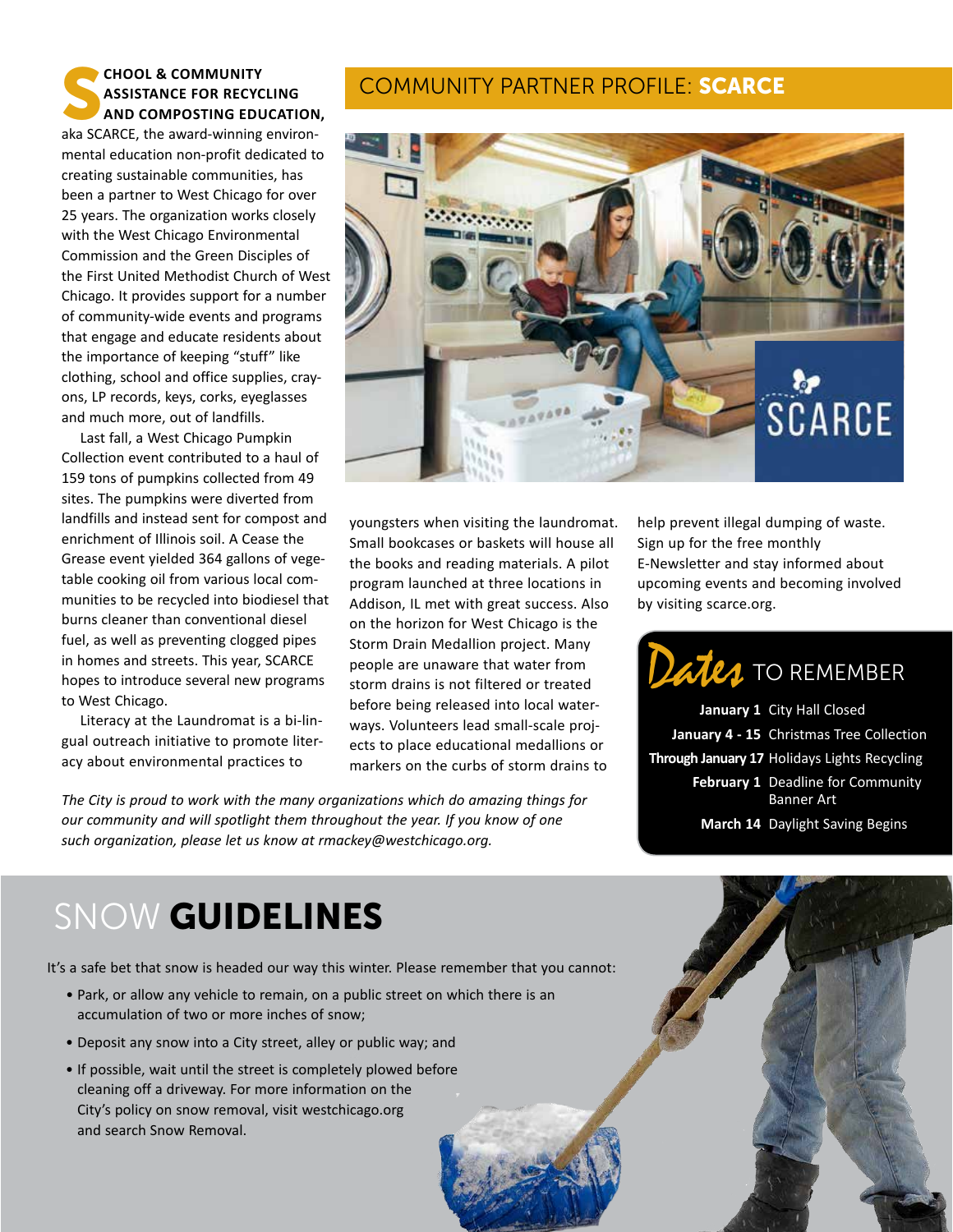#### **CHOOL & COMMUNITY<br>ASSISTANCE FOR RECYC<br>AND COMPOSTING EDU Assistance for Recycling and Composting Education,**

aka SCARCE, the award-winning environmental education non-profit dedicated to creating sustainable communities, has been a partner to West Chicago for over 25 years. The organization works closely with the West Chicago Environmental Commission and the Green Disciples of the First United Methodist Church of West Chicago. It provides support for a number of community-wide events and programs that engage and educate residents about the importance of keeping "stuff" like clothing, school and office supplies, crayons, LP records, keys, corks, eyeglasses and much more, out of landfills.

Last fall, a West Chicago Pumpkin Collection event contributed to a haul of 159 tons of pumpkins collected from 49 sites. The pumpkins were diverted from landfills and instead sent for compost and enrichment of Illinois soil. A Cease the Grease event yielded 364 gallons of vegetable cooking oil from various local communities to be recycled into biodiesel that burns cleaner than conventional diesel fuel, as well as preventing clogged pipes in homes and streets. This year, SCARCE hopes to introduce several new programs to West Chicago.

Literacy at the Laundromat is a bi-lingual outreach initiative to promote literacy about environmental practices to

#### Community Partner Profile: SCARCE



youngsters when visiting the laundromat. Small bookcases or baskets will house all the books and reading materials. A pilot program launched at three locations in Addison, IL met with great success. Also on the horizon for West Chicago is the Storm Drain Medallion project. Many people are unaware that water from storm drains is not filtered or treated before being released into local waterways. Volunteers lead small-scale projects to place educational medallions or markers on the curbs of storm drains to

*The City is proud to work with the many organizations which do amazing things for our community and will spotlight them throughout the year. If you know of one such organization, please let us know at rmackey@westchicago.org.* 

help prevent illegal dumping of waste. Sign up for the free monthly E-Newsletter and stay informed about upcoming events and becoming involved by visiting scarce.org.

# Dates TO REMEMBER

**January 1** City Hall Closed **January 4 - 15** Christmas Tree Collection  **Through January 17** Holidays Lights Recycling **February 1** Deadline for Community Banner Art **March 14** Daylight Saving Begins

# SNOW GUIDELINES

It's a safe bet that snow is headed our way this winter. Please remember that you cannot:

- Park, or allow any vehicle to remain, on a public street on which there is an accumulation of two or more inches of snow;
- Deposit any snow into a City street, alley or public way; and
- If possible, wait until the street is completely plowed before cleaning off a driveway. For more information on the City's policy on snow removal, visit westchicago.org and search Snow Removal.